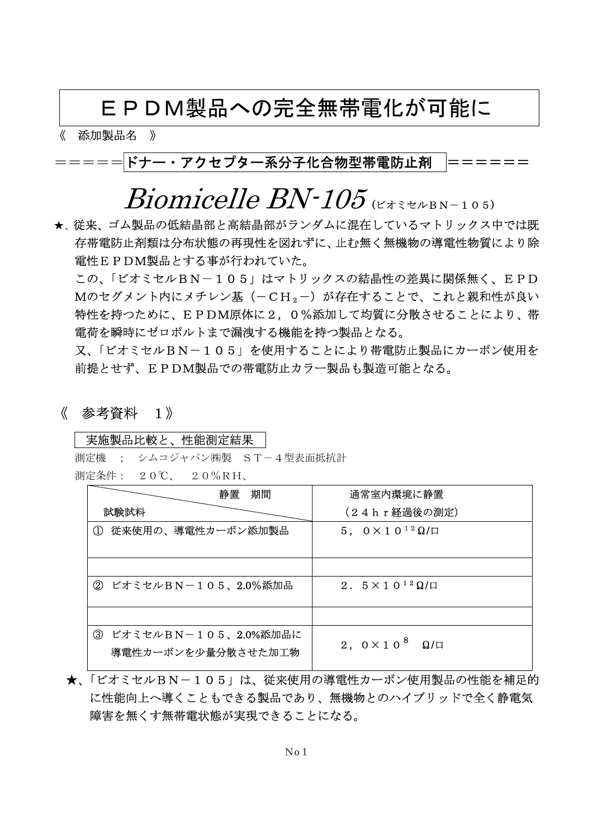### EPDM製品への完全無帯電化が可能に

《 添加製品名 》

### <u>=====</u>|ドナー・アクセプター系分子化合物型帯電防止剤 │======

## $B{\textsubscript{ion}}$

★、従来、ゴム製品の低結晶部と高結晶部がランダムに混在しているマトリックス中では既 存帯電防止剤類は分布状態の再現性を図れずに、止む無く無機物の導電性物質により除 電性EPDM製品とする事が行われていた。

この、「ビオミセルBN-105」はマトリックスの結晶性の差異に関係無く、EPD Mのセグメント内にメチレン基(-CH2-)が存在することで、これと親和性が良い 特性を持つために、EPDM原体に2,0%添加して均質に分散させることにより、帯 電荷を瞬時にゼロボルトまで漏洩する機能を持つ製品となる。

又、「ビオミセルBN-105」を使用することにより帯電防止製品にカーボン使用を 前提とせず、EPDM製品での帯電防止カラー製品も製造可能となる。

《 参考資料 1》

#### 実施製品比較と、性能測定結果

 測定機 ; シムコジャパン㈱製 ST-4型表面抵抗計 測定条件: 20℃、 20%RH、

| 期間<br>静置                                                  | 通常室内環境に静置                              |
|-----------------------------------------------------------|----------------------------------------|
| 試験試料                                                      | (24hr経過後の測定)                           |
| ① 従来使用の、導電性カーボン添加製品                                       | $5, 0 \times 10^{12} \Omega/\Pi$       |
|                                                           |                                        |
| ビオミセルBN-105、2.0%添加品<br>(2)                                | 2. $5 \times 10^{12}$ $\Omega$ / $\Pi$ |
|                                                           |                                        |
| ビオミセルBN-105、2.0%添加品に<br>$\circledS$<br>導電性カーボンを少量分散させた加工物 | 2, $0 \times 10^{8}$<br>$\Omega/\Box$  |

 ★、「ビオミセルBN-105」は、従来使用の導電性カーボン使用製品の性能を補足的 に性能向上へ導くこともできる製品であり、無機物とのハイブリッドで全く静電気 障害を無くす無帯電状態が実現できることになる。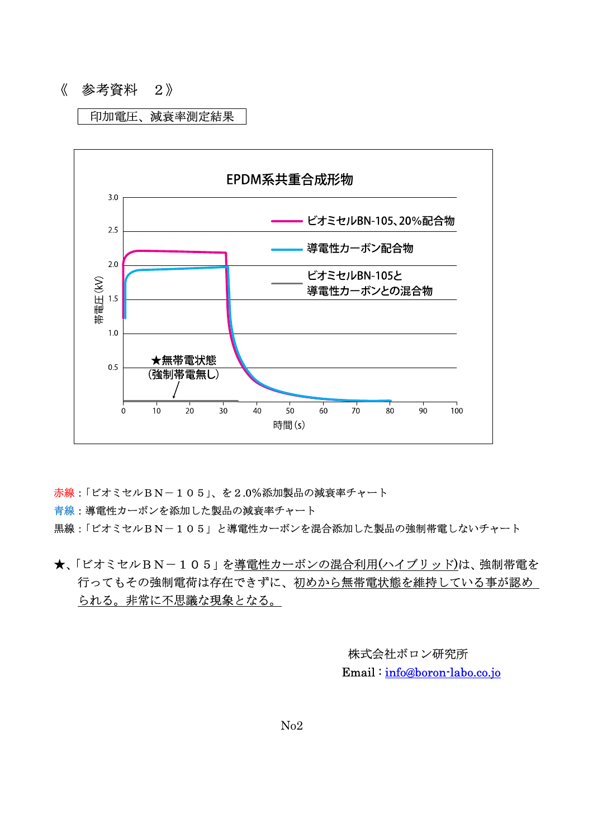#### 《 参考資料 2》

#### 印加電圧、減衰率測定結果



赤線:「ビオミセルBN-105」、を2.0%添加製品の減衰率チャート

青線:導電性カーボンを添加した製品の減衰率チャート

黒線:「ビオミセルBN-105」と導電性カーボンを混合添加した製品の強制帯電しないチャート

★、「ビオミセルBN-105」を導電性カーボンの混合利用(ハイブリッド)は、強制帯電を 行ってもその強制電荷は存在できずに、初めから無帯電状態を維持している事が認め られる。非常に不思議な現象となる。

> 株式会社ボロン研究所 Email : info@boron-labo.co.jo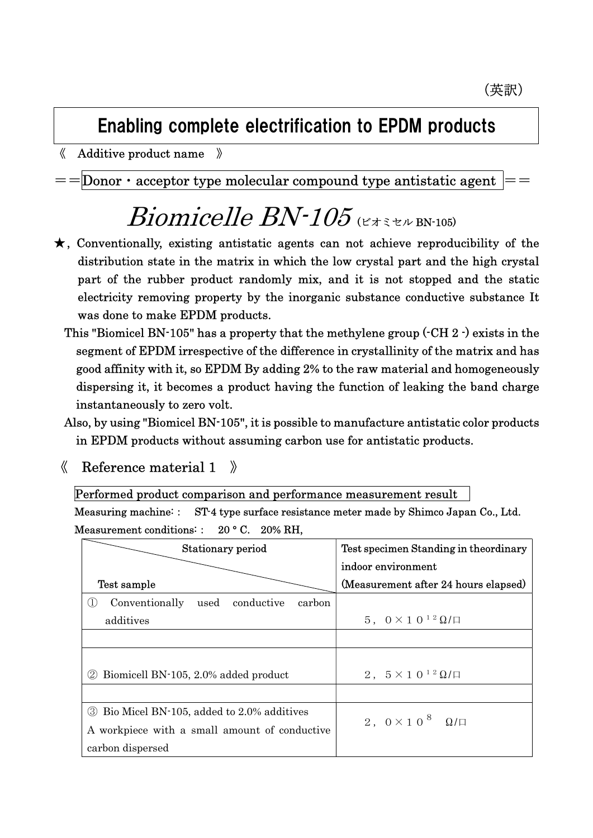## Enabling complete electrification to EPDM products

《 Additive product name 》

 $=$ Donor  $\cdot$  acceptor type molecular compound type antistatic agent

# $Binmicelle BN-105$  ( $\epsilon \neq \epsilon \ge 105$ )

- ★, Conventionally, existing antistatic agents can not achieve reproducibility of the distribution state in the matrix in which the low crystal part and the high crystal part of the rubber product randomly mix, and it is not stopped and the static electricity removing property by the inorganic substance conductive substance It was done to make EPDM products.
	- This "Biomicel BN-105" has a property that the methylene group (-CH 2 -) exists in the segment of EPDM irrespective of the difference in crystallinity of the matrix and has good affinity with it, so EPDM By adding 2% to the raw material and homogeneously dispersing it, it becomes a product having the function of leaking the band charge instantaneously to zero volt.
	- Also, by using "Biomicel BN-105", it is possible to manufacture antistatic color products in EPDM products without assuming carbon use for antistatic products.
	- $\langle$  Reference material 1  $\rangle$

Performed product comparison and performance measurement result

Measuring machine:: ST-4 type surface resistance meter made by Shimco Japan Co., Ltd. Measurement conditions:: 20 °C. 20% RH.

| Stationary period                                  | Test specimen Standing in theordinary |
|----------------------------------------------------|---------------------------------------|
|                                                    | indoor environment                    |
| Test sample                                        | (Measurement after 24 hours elapsed)  |
| Conventionally<br>used conductive<br>carbon<br>(1) |                                       |
| additives                                          | $5, 0 \times 10^{12} \Omega/\Box$     |
|                                                    |                                       |
|                                                    |                                       |
| Biomicell BN-105, 2.0% added product<br>(2)        | 2, $5 \times 10^{12} \Omega/\Box$     |
|                                                    |                                       |
| 3 Bio Micel BN-105, added to 2.0% additives        | 2, $0 \times 10^{8}$ $\Omega/\square$ |
| A workpiece with a small amount of conductive      |                                       |
| carbon dispersed                                   |                                       |